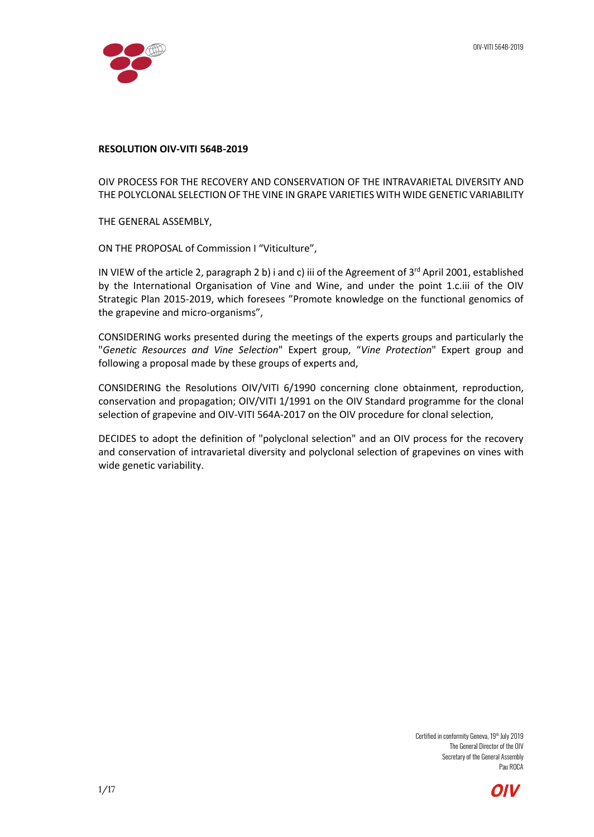### **RESOLUTION OIV-VITI 564B-2019**

OIV PROCESS FOR THE RECOVERY AND CONSERVATION OF THE INTRAVARIETAL DIVERSITY AND THE POLYCLONAL SELECTION OF THE VINE IN GRAPE VARIETIES WITH WIDE GENETIC VARIABILITY

THE GENERAL ASSEMBLY,

ON THE PROPOSAL of Commission I "Viticulture",

IN VIEW of the article 2, paragraph 2 b) i and c) iii of the Agreement of  $3<sup>rd</sup>$  April 2001, established by the International Organisation of Vine and Wine, and under the point 1.c.iii of the OIV Strategic Plan 2015-2019, which foresees "Promote knowledge on the functional genomics of the grapevine and micro-organisms",

CONSIDERING works presented during the meetings of the experts groups and particularly the "*Genetic Resources and Vine Selection*" Expert group, "*Vine Protection*" Expert group and following a proposal made by these groups of experts and,

CONSIDERING the Resolutions OIV/VITI 6/1990 concerning clone obtainment, reproduction, conservation and propagation; OIV/VITI 1/1991 on the OIV Standard programme for the clonal selection of grapevine and OIV-VITI 564A-2017 on the OIV procedure for clonal selection,

DECIDES to adopt the definition of "polyclonal selection" and an OIV process for the recovery and conservation of intravarietal diversity and polyclonal selection of grapevines on vines with wide genetic variability.

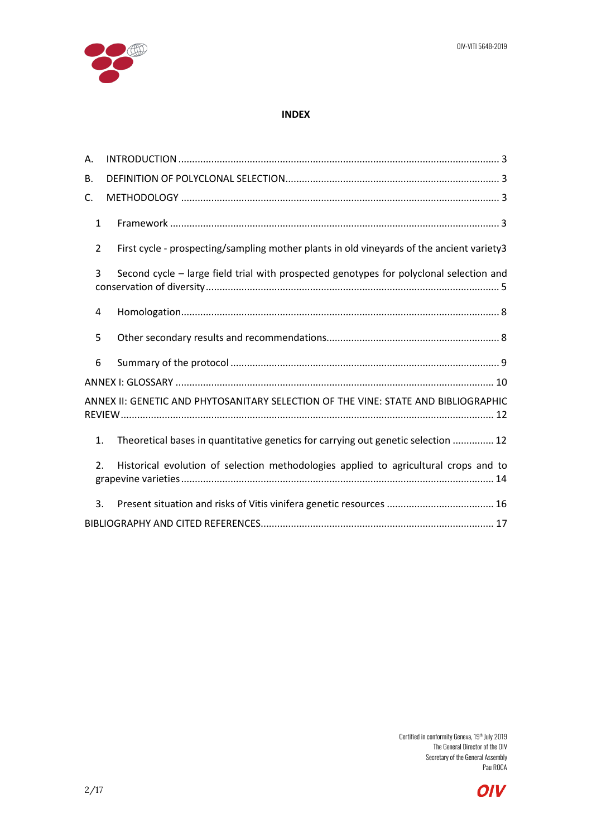

## **INDEX**

| Α.                                                                                 |                                                                                           |  |  |  |
|------------------------------------------------------------------------------------|-------------------------------------------------------------------------------------------|--|--|--|
| В.                                                                                 |                                                                                           |  |  |  |
| C.                                                                                 |                                                                                           |  |  |  |
| $\mathbf{1}$                                                                       |                                                                                           |  |  |  |
| 2                                                                                  | First cycle - prospecting/sampling mother plants in old vineyards of the ancient variety3 |  |  |  |
| 3                                                                                  | Second cycle - large field trial with prospected genotypes for polyclonal selection and   |  |  |  |
| 4                                                                                  |                                                                                           |  |  |  |
| 5                                                                                  |                                                                                           |  |  |  |
| 6                                                                                  |                                                                                           |  |  |  |
|                                                                                    |                                                                                           |  |  |  |
| ANNEX II: GENETIC AND PHYTOSANITARY SELECTION OF THE VINE: STATE AND BIBLIOGRAPHIC |                                                                                           |  |  |  |
| 1.                                                                                 | Theoretical bases in quantitative genetics for carrying out genetic selection  12         |  |  |  |
| $\overline{2}$ .                                                                   | Historical evolution of selection methodologies applied to agricultural crops and to      |  |  |  |
| 3.                                                                                 |                                                                                           |  |  |  |
|                                                                                    |                                                                                           |  |  |  |

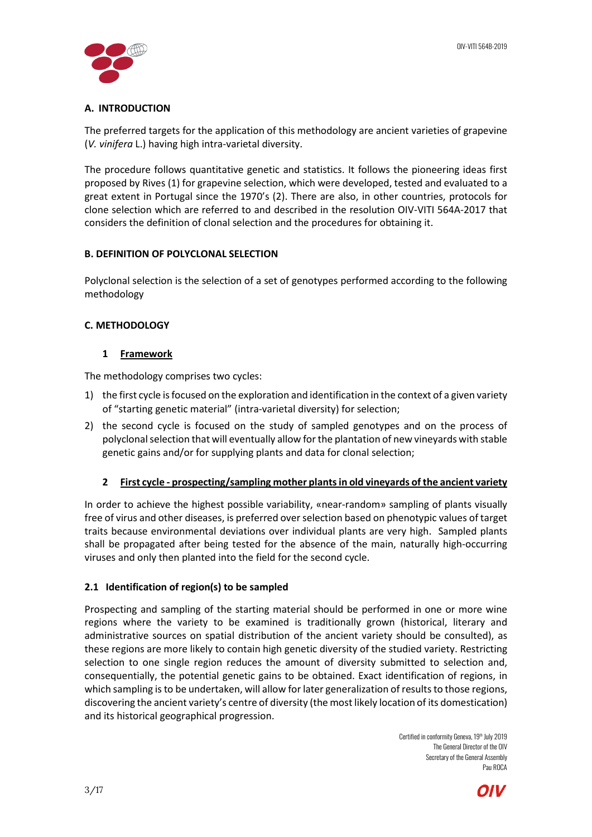

# <span id="page-2-0"></span>**A. INTRODUCTION**

The preferred targets for the application of this methodology are ancient varieties of grapevine (*V. vinifera* L.) having high intra-varietal diversity.

The procedure follows quantitative genetic and statistics. It follows the pioneering ideas first proposed by Rives (1) for grapevine selection, which were developed, tested and evaluated to a great extent in Portugal since the 1970's (2). There are also, in other countries, protocols for clone selection which are referred to and described in the resolution OIV-VITI 564A-2017 that considers the definition of clonal selection and the procedures for obtaining it.

# <span id="page-2-1"></span>**B. DEFINITION OF POLYCLONAL SELECTION**

Polyclonal selection is the selection of a set of genotypes performed according to the following methodology

# <span id="page-2-3"></span><span id="page-2-2"></span>**C. METHODOLOGY**

# **1 Framework**

The methodology comprises two cycles:

- 1) the first cycle is focused on the exploration and identification in the context of a given variety of "starting genetic material" (intra-varietal diversity) for selection;
- 2) the second cycle is focused on the study of sampled genotypes and on the process of polyclonal selection that will eventually allow for the plantation of new vineyards with stable genetic gains and/or for supplying plants and data for clonal selection;

# <span id="page-2-4"></span>**2 First cycle - prospecting/sampling mother plants in old vineyards of the ancient variety**

In order to achieve the highest possible variability, «near-random» sampling of plants visually free of virus and other diseases, is preferred over selection based on phenotypic values of target traits because environmental deviations over individual plants are very high. Sampled plants shall be propagated after being tested for the absence of the main, naturally high-occurring viruses and only then planted into the field for the second cycle.

# **2.1 Identification of region(s) to be sampled**

Prospecting and sampling of the starting material should be performed in one or more wine regions where the variety to be examined is traditionally grown (historical, literary and administrative sources on spatial distribution of the ancient variety should be consulted), as these regions are more likely to contain high genetic diversity of the studied variety. Restricting selection to one single region reduces the amount of diversity submitted to selection and, consequentially, the potential genetic gains to be obtained. Exact identification of regions, in which sampling is to be undertaken, will allow for later generalization of results to those regions, discovering the ancient variety's centre of diversity (the most likely location of its domestication) and its historical geographical progression.

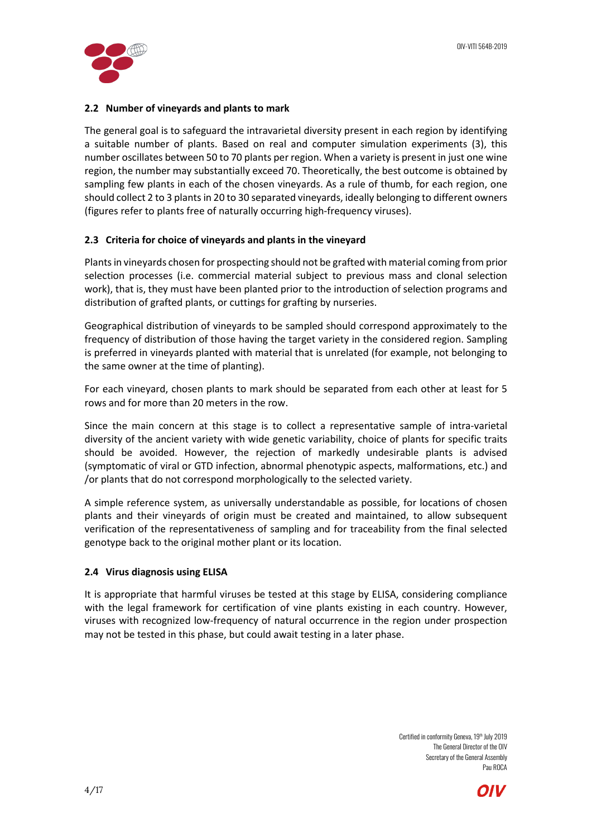

## **2.2 Number of vineyards and plants to mark**

The general goal is to safeguard the intravarietal diversity present in each region by identifying a suitable number of plants. Based on real and computer simulation experiments (3), this number oscillates between 50 to 70 plants per region. When a variety is present in just one wine region, the number may substantially exceed 70. Theoretically, the best outcome is obtained by sampling few plants in each of the chosen vineyards. As a rule of thumb, for each region, one should collect 2 to 3 plants in 20 to 30 separated vineyards, ideally belonging to different owners (figures refer to plants free of naturally occurring high-frequency viruses).

## **2.3 Criteria for choice of vineyards and plants in the vineyard**

Plants in vineyards chosen for prospecting should not be grafted with material coming from prior selection processes (i.e. commercial material subject to previous mass and clonal selection work), that is, they must have been planted prior to the introduction of selection programs and distribution of grafted plants, or cuttings for grafting by nurseries.

Geographical distribution of vineyards to be sampled should correspond approximately to the frequency of distribution of those having the target variety in the considered region. Sampling is preferred in vineyards planted with material that is unrelated (for example, not belonging to the same owner at the time of planting).

For each vineyard, chosen plants to mark should be separated from each other at least for 5 rows and for more than 20 meters in the row.

Since the main concern at this stage is to collect a representative sample of intra-varietal diversity of the ancient variety with wide genetic variability, choice of plants for specific traits should be avoided. However, the rejection of markedly undesirable plants is advised (symptomatic of viral or GTD infection, abnormal phenotypic aspects, malformations, etc.) and /or plants that do not correspond morphologically to the selected variety.

A simple reference system, as universally understandable as possible, for locations of chosen plants and their vineyards of origin must be created and maintained, to allow subsequent verification of the representativeness of sampling and for traceability from the final selected genotype back to the original mother plant or its location.

### **2.4 Virus diagnosis using ELISA**

It is appropriate that harmful viruses be tested at this stage by ELISA, considering compliance with the legal framework for certification of vine plants existing in each country. However, viruses with recognized low-frequency of natural occurrence in the region under prospection may not be tested in this phase, but could await testing in a later phase.

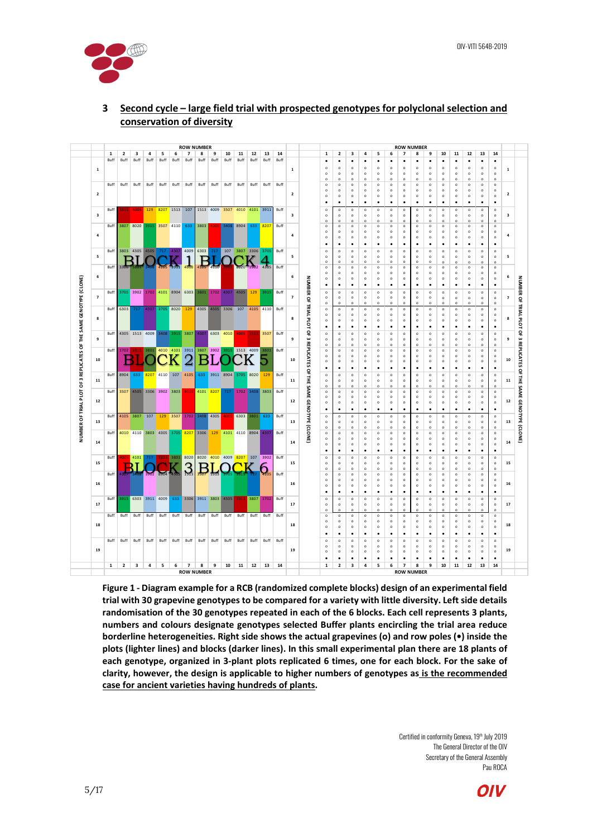



# <span id="page-4-0"></span>**3 Second cycle – large field trial with prospected genotypes for polyclonal selection and conservation of diversity**

**Figure 1 - Diagram example for a RCB (randomized complete blocks) design of an experimental field trial with 30 grapevine genotypes to be compared for a variety with little diversity. Left side details randomisation of the 30 genotypes repeated in each of the 6 blocks. Each cell represents 3 plants, numbers and colours designate genotypes selected Buffer plants encircling the trial area reduce borderline heterogeneities. Right side shows the actual grapevines (o) and row poles (•) inside the plots (lighter lines) and blocks (darker lines). In this small experimental plan there are 18 plants of each genotype, organized in 3-plant plots replicated 6 times, one for each block. For the sake of clarity, however, the design is applicable to higher numbers of genotypes as is the recommended case for ancient varieties having hundreds of plants.**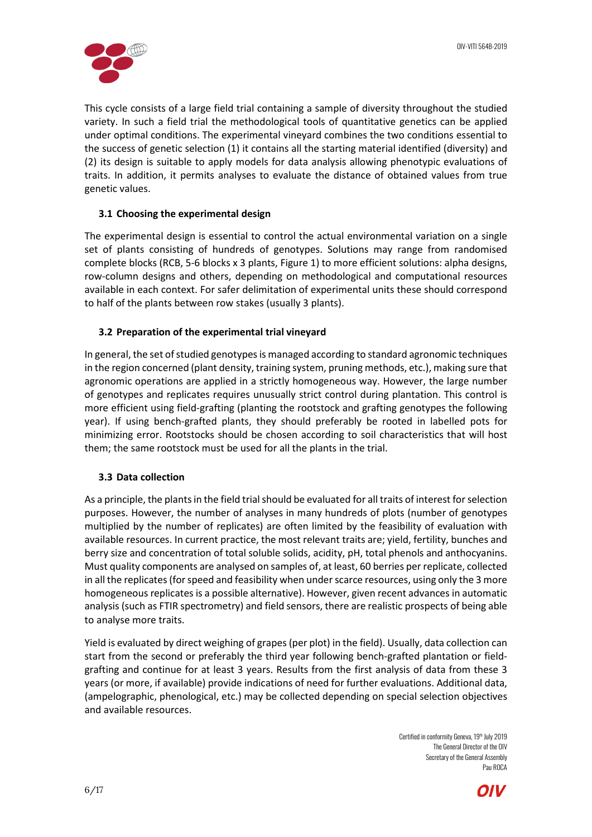![](_page_5_Picture_1.jpeg)

This cycle consists of a large field trial containing a sample of diversity throughout the studied variety. In such a field trial the methodological tools of quantitative genetics can be applied under optimal conditions. The experimental vineyard combines the two conditions essential to the success of genetic selection (1) it contains all the starting material identified (diversity) and (2) its design is suitable to apply models for data analysis allowing phenotypic evaluations of traits. In addition, it permits analyses to evaluate the distance of obtained values from true genetic values.

## **3.1 Choosing the experimental design**

The experimental design is essential to control the actual environmental variation on a single set of plants consisting of hundreds of genotypes. Solutions may range from randomised complete blocks (RCB, 5-6 blocks x 3 plants, Figure 1) to more efficient solutions: alpha designs, row-column designs and others, depending on methodological and computational resources available in each context. For safer delimitation of experimental units these should correspond to half of the plants between row stakes (usually 3 plants).

## **3.2 Preparation of the experimental trial vineyard**

In general, the set of studied genotypesis managed according to standard agronomic techniques in the region concerned (plant density, training system, pruning methods, etc.), making sure that agronomic operations are applied in a strictly homogeneous way. However, the large number of genotypes and replicates requires unusually strict control during plantation. This control is more efficient using field-grafting (planting the rootstock and grafting genotypes the following year). If using bench-grafted plants, they should preferably be rooted in labelled pots for minimizing error. Rootstocks should be chosen according to soil characteristics that will host them; the same rootstock must be used for all the plants in the trial.

### **3.3 Data collection**

As a principle, the plants in the field trial should be evaluated for all traits of interest for selection purposes. However, the number of analyses in many hundreds of plots (number of genotypes multiplied by the number of replicates) are often limited by the feasibility of evaluation with available resources. In current practice, the most relevant traits are; yield, fertility, bunches and berry size and concentration of total soluble solids, acidity, pH, total phenols and anthocyanins. Must quality components are analysed on samples of, at least, 60 berries per replicate, collected in all the replicates (for speed and feasibility when under scarce resources, using only the 3 more homogeneous replicates is a possible alternative). However, given recent advances in automatic analysis (such as FTIR spectrometry) and field sensors, there are realistic prospects of being able to analyse more traits.

Yield is evaluated by direct weighing of grapes (per plot) in the field). Usually, data collection can start from the second or preferably the third year following bench-grafted plantation or fieldgrafting and continue for at least 3 years. Results from the first analysis of data from these 3 years (or more, if available) provide indications of need for further evaluations. Additional data, (ampelographic, phenological, etc.) may be collected depending on special selection objectives and available resources.

![](_page_5_Picture_11.jpeg)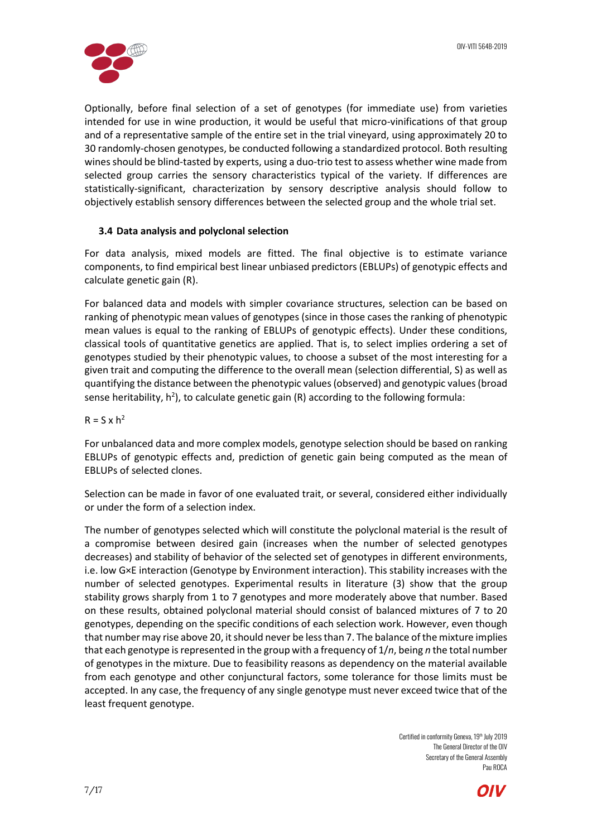![](_page_6_Picture_1.jpeg)

Optionally, before final selection of a set of genotypes (for immediate use) from varieties intended for use in wine production, it would be useful that micro-vinifications of that group and of a representative sample of the entire set in the trial vineyard, using approximately 20 to 30 randomly-chosen genotypes, be conducted following a standardized protocol. Both resulting wines should be blind-tasted by experts, using a duo-trio test to assess whether wine made from selected group carries the sensory characteristics typical of the variety. If differences are statistically-significant, characterization by sensory descriptive analysis should follow to objectively establish sensory differences between the selected group and the whole trial set.

## **3.4 Data analysis and polyclonal selection**

For data analysis, mixed models are fitted. The final objective is to estimate variance components, to find empirical best linear unbiased predictors (EBLUPs) of genotypic effects and calculate genetic gain (R).

For balanced data and models with simpler covariance structures, selection can be based on ranking of phenotypic mean values of genotypes (since in those cases the ranking of phenotypic mean values is equal to the ranking of EBLUPs of genotypic effects). Under these conditions, classical tools of quantitative genetics are applied. That is, to select implies ordering a set of genotypes studied by their phenotypic values, to choose a subset of the most interesting for a given trait and computing the difference to the overall mean (selection differential, S) as well as quantifying the distance between the phenotypic values (observed) and genotypic values (broad sense heritability,  $h^2$ ), to calculate genetic gain (R) according to the following formula:

 $R = S \times h^2$ 

For unbalanced data and more complex models, genotype selection should be based on ranking EBLUPs of genotypic effects and, prediction of genetic gain being computed as the mean of EBLUPs of selected clones.

Selection can be made in favor of one evaluated trait, or several, considered either individually or under the form of a selection index.

The number of genotypes selected which will constitute the polyclonal material is the result of a compromise between desired gain (increases when the number of selected genotypes decreases) and stability of behavior of the selected set of genotypes in different environments, i.e. low G×E interaction (Genotype by Environment interaction). This stability increases with the number of selected genotypes. Experimental results in literature (3) show that the group stability grows sharply from 1 to 7 genotypes and more moderately above that number. Based on these results, obtained polyclonal material should consist of balanced mixtures of 7 to 20 genotypes, depending on the specific conditions of each selection work. However, even though that number may rise above 20, it should never be less than 7. The balance of the mixture implies that each genotype is represented in the group with a frequency of 1/*n*, being *n* the total number of genotypes in the mixture. Due to feasibility reasons as dependency on the material available from each genotype and other conjunctural factors, some tolerance for those limits must be accepted. In any case, the frequency of any single genotype must never exceed twice that of the least frequent genotype.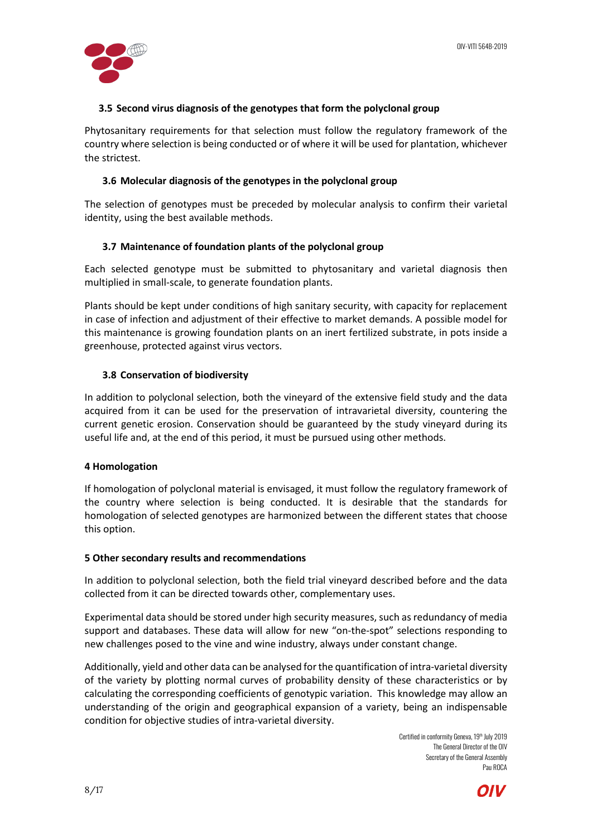![](_page_7_Picture_1.jpeg)

## **3.5 Second virus diagnosis of the genotypes that form the polyclonal group**

Phytosanitary requirements for that selection must follow the regulatory framework of the country where selection is being conducted or of where it will be used for plantation, whichever the strictest.

### **3.6 Molecular diagnosis of the genotypes in the polyclonal group**

The selection of genotypes must be preceded by molecular analysis to confirm their varietal identity, using the best available methods.

## **3.7 Maintenance of foundation plants of the polyclonal group**

Each selected genotype must be submitted to phytosanitary and varietal diagnosis then multiplied in small-scale, to generate foundation plants.

Plants should be kept under conditions of high sanitary security, with capacity for replacement in case of infection and adjustment of their effective to market demands. A possible model for this maintenance is growing foundation plants on an inert fertilized substrate, in pots inside a greenhouse, protected against virus vectors.

## **3.8 Conservation of biodiversity**

In addition to polyclonal selection, both the vineyard of the extensive field study and the data acquired from it can be used for the preservation of intravarietal diversity, countering the current genetic erosion. Conservation should be guaranteed by the study vineyard during its useful life and, at the end of this period, it must be pursued using other methods.

### <span id="page-7-0"></span>**4 Homologation**

If homologation of polyclonal material is envisaged, it must follow the regulatory framework of the country where selection is being conducted. It is desirable that the standards for homologation of selected genotypes are harmonized between the different states that choose this option.

### <span id="page-7-1"></span>**5 Other secondary results and recommendations**

In addition to polyclonal selection, both the field trial vineyard described before and the data collected from it can be directed towards other, complementary uses.

Experimental data should be stored under high security measures, such as redundancy of media support and databases. These data will allow for new "on-the-spot" selections responding to new challenges posed to the vine and wine industry, always under constant change.

Additionally, yield and other data can be analysed for the quantification of intra-varietal diversity of the variety by plotting normal curves of probability density of these characteristics or by calculating the corresponding coefficients of genotypic variation. This knowledge may allow an understanding of the origin and geographical expansion of a variety, being an indispensable condition for objective studies of intra-varietal diversity.

![](_page_7_Picture_18.jpeg)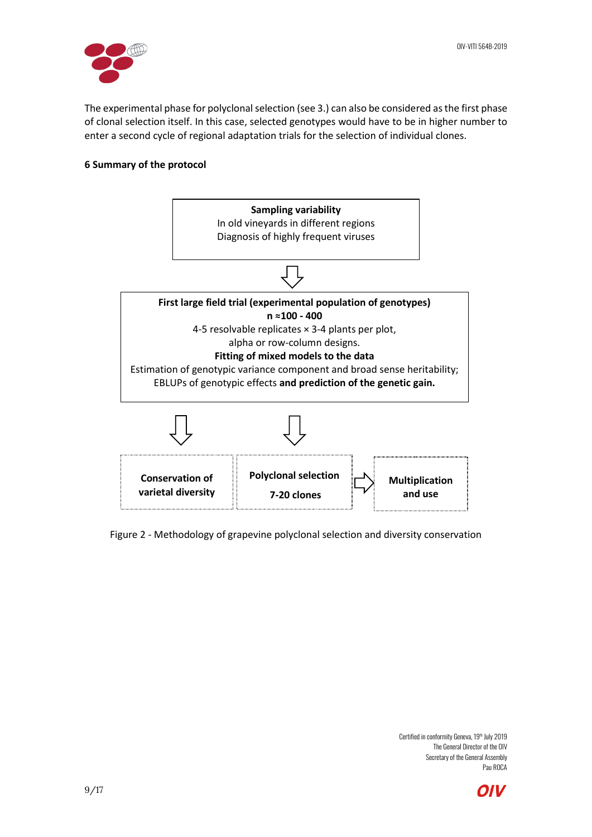![](_page_8_Picture_1.jpeg)

The experimental phase for polyclonal selection (see 3.) can also be considered as the first phase of clonal selection itself. In this case, selected genotypes would have to be in higher number to enter a second cycle of regional adaptation trials for the selection of individual clones.

## <span id="page-8-0"></span>**6 Summary of the protocol**

![](_page_8_Figure_4.jpeg)

Figure 2 - Methodology of grapevine polyclonal selection and diversity conservation

![](_page_8_Picture_7.jpeg)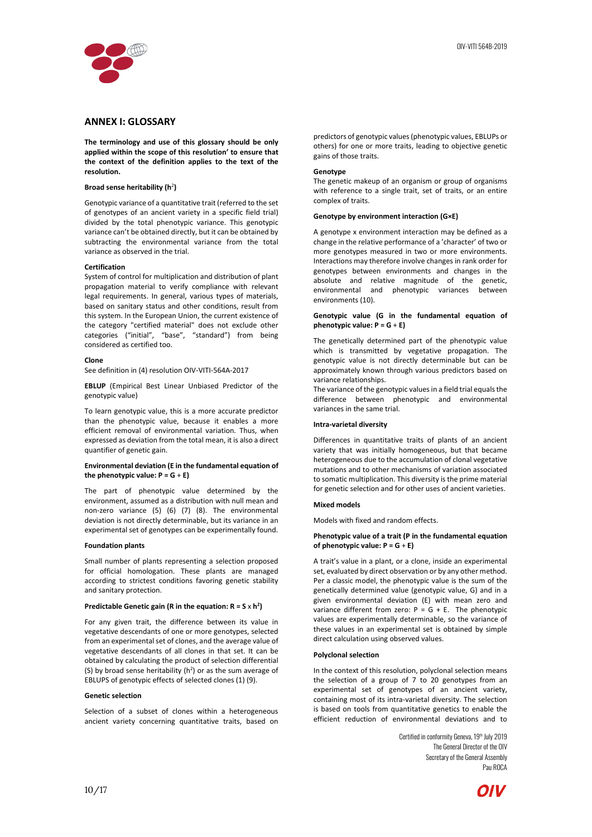![](_page_9_Picture_0.jpeg)

### <span id="page-9-0"></span>**ANNEX I: GLOSSARY**

**The terminology and use of this glossary should be only applied within the scope of this resolution' to ensure that the context of the definition applies to the text of the resolution.**

#### **Broad sense heritability (h**<sup>2</sup>**)**

Genotypic variance of a quantitative trait (referred to the set of genotypes of an ancient variety in a specific field trial) divided by the total phenotypic variance. This genotypic variance can't be obtained directly, but it can be obtained by subtracting the environmental variance from the total variance as observed in the trial.

#### **Certification**

System of control for multiplication and distribution of plant propagation material to verify compliance with relevant legal requirements. In general, various types of materials, based on sanitary status and other conditions, result from this system. In the European Union, the current existence of the category "certified material" does not exclude other categories ("initial", "base", "standard") from being considered as certified too.

#### **Clone**

See definition in (4) resolution OIV-VITI-564A-2017

**EBLUP** (Empirical Best Linear Unbiased Predictor of the genotypic value)

To learn genotypic value, this is a more accurate predictor than the phenotypic value, because it enables a more efficient removal of environmental variation. Thus, when expressed as deviation from the total mean, it is also a direct quantifier of genetic gain.

### **Environmental deviation (E in the fundamental equation of the phenotypic value:**  $P = G + E$ **)**

The part of phenotypic value determined by the environment, assumed as a distribution with null mean and non-zero variance (5) (6) (7) (8). The environmental deviation is not directly determinable, but its variance in an experimental set of genotypes can be experimentally found.

#### **Foundation plants**

Small number of plants representing a selection proposed for official homologation. These plants are managed according to strictest conditions favoring genetic stability and sanitary protection.

#### **Predictable Genetic gain (R in the equation:**  $R = S \times h^2$ **)**

For any given trait, the difference between its value in vegetative descendants of one or more genotypes, selected from an experimental set of clones, and the average value of vegetative descendants of all clones in that set. It can be obtained by calculating the product of selection differential (S) by broad sense heritability  $(h^2)$  or as the sum average of EBLUPS of genotypic effects of selected clones (1) (9).

### **Genetic selection**

Selection of a subset of clones within a heterogeneous ancient variety concerning quantitative traits, based on predictors of genotypic values (phenotypic values, EBLUPs or others) for one or more traits, leading to objective genetic gains of those traits.

### **Genotype**

The genetic makeup of an organism or group of organisms with reference to a single trait, set of traits, or an entire complex of traits.

#### **Genotype by environment interaction (G×E)**

A genotype x environment interaction may be defined as a change in the relative performance of a 'character' of two or more genotypes measured in two or more environments. Interactions may therefore involve changes in rank order for genotypes between environments and changes in the absolute and relative magnitude of the genetic, environmental and phenotypic variances between environments (10).

#### **Genotypic value (G in the fundamental equation of phenotypic value: P = G** + **E)**

The genetically determined part of the phenotypic value which is transmitted by vegetative propagation. The genotypic value is not directly determinable but can be approximately known through various predictors based on variance relationships.

The variance of the genotypic values in a field trial equals the difference between phenotypic and environmental variances in the same trial.

### **Intra-varietal diversity**

Differences in quantitative traits of plants of an ancient variety that was initially homogeneous, but that became heterogeneous due to the accumulation of clonal vegetative mutations and to other mechanisms of variation associated to somatic multiplication. This diversity is the prime material for genetic selection and for other uses of ancient varieties.

### **Mixed models**

Models with fixed and random effects.

#### **Phenotypic value of a trait (P in the fundamental equation of phenotypic value: P = G** + **E)**

A trait's value in a plant, or a clone, inside an experimental set, evaluated by direct observation or by any other method. Per a classic model, the phenotypic value is the sum of the genetically determined value (genotypic value, G) and in a given environmental deviation (E) with mean zero and variance different from zero:  $P = G + E$ . The phenotypic values are experimentally determinable, so the variance of these values in an experimental set is obtained by simple direct calculation using observed values.

#### **Polyclonal selection**

In the context of this resolution, polyclonal selection means the selection of a group of 7 to 20 genotypes from an experimental set of genotypes of an ancient variety, containing most of its intra-varietal diversity. The selection is based on tools from quantitative genetics to enable the efficient reduction of environmental deviations and to

![](_page_9_Picture_37.jpeg)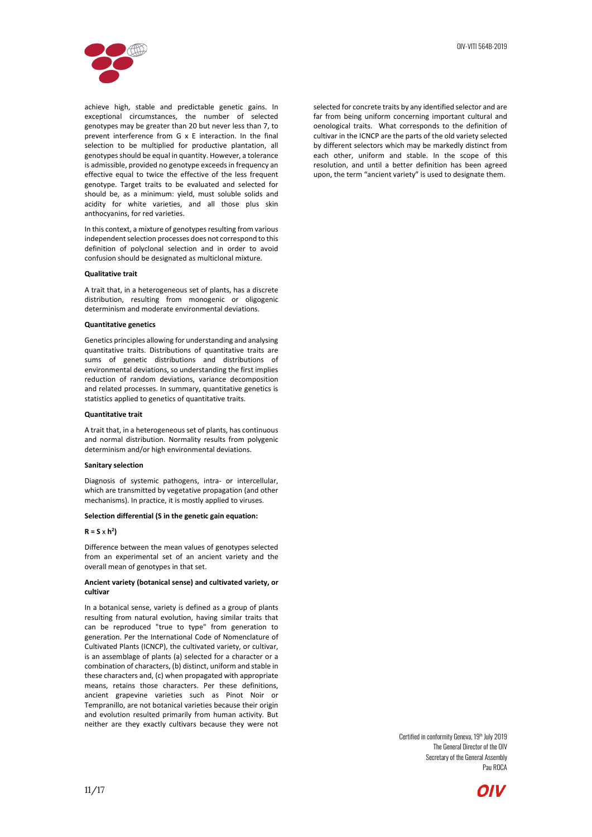![](_page_10_Picture_1.jpeg)

achieve high, stable and predictable genetic gains. In exceptional circumstances, the number of selected genotypes may be greater than 20 but never less than 7, to prevent interference from G x E interaction. In the final selection to be multiplied for productive plantation, all genotypes should be equal in quantity. However, a tolerance is admissible, provided no genotype exceeds in frequency an effective equal to twice the effective of the less frequent genotype. Target traits to be evaluated and selected for should be, as a minimum: yield, must soluble solids and acidity for white varieties, and all those plus skin anthocyanins, for red varieties.

In this context, a mixture of genotypes resulting from various independent selection processes does not correspond to this definition of polyclonal selection and in order to avoid confusion should be designated as multiclonal mixture.

### **Qualitative trait**

A trait that, in a heterogeneous set of plants, has a discrete distribution, resulting from monogenic or oligogenic determinism and moderate environmental deviations.

### **Quantitative genetics**

Genetics principles allowing for understanding and analysing quantitative traits. Distributions of quantitative traits are sums of genetic distributions and distributions of environmental deviations, so understanding the first implies reduction of random deviations, variance decomposition and related processes. In summary, quantitative genetics is statistics applied to genetics of quantitative traits.

#### **Quantitative trait**

A trait that, in a heterogeneous set of plants, has continuous and normal distribution. Normality results from polygenic determinism and/or high environmental deviations.

#### **Sanitary selection**

Diagnosis of systemic pathogens, intra- or intercellular, which are transmitted by vegetative propagation (and other mechanisms). In practice, it is mostly applied to viruses.

### **Selection differential (S in the genetic gain equation:**

#### $R = S \times h^2$

Difference between the mean values of genotypes selected from an experimental set of an ancient variety and the overall mean of genotypes in that set.

### **Ancient variety (botanical sense) and cultivated variety, or cultivar**

In a botanical sense, variety is defined as a group of plants resulting from natural evolution, having similar traits that can be reproduced "true to type" from generation to generation. Per the International Code of Nomenclature of Cultivated Plants (ICNCP), the cultivated variety, or cultivar, is an assemblage of plants (a) selected for a character or a combination of characters, (b) distinct, uniform and stable in these characters and, (c) when propagated with appropriate means, retains those characters. Per these definitions, ancient grapevine varieties such as Pinot Noir or Tempranillo, are not botanical varieties because their origin and evolution resulted primarily from human activity. But neither are they exactly cultivars because they were not

selected for concrete traits by any identified selector and are far from being uniform concerning important cultural and oenological traits. What corresponds to the definition of cultivar in the ICNCP are the parts of the old variety selected by different selectors which may be markedly distinct from each other, uniform and stable. In the scope of this resolution, and until a better definition has been agreed upon, the term "ancient variety" is used to designate them.

![](_page_10_Picture_19.jpeg)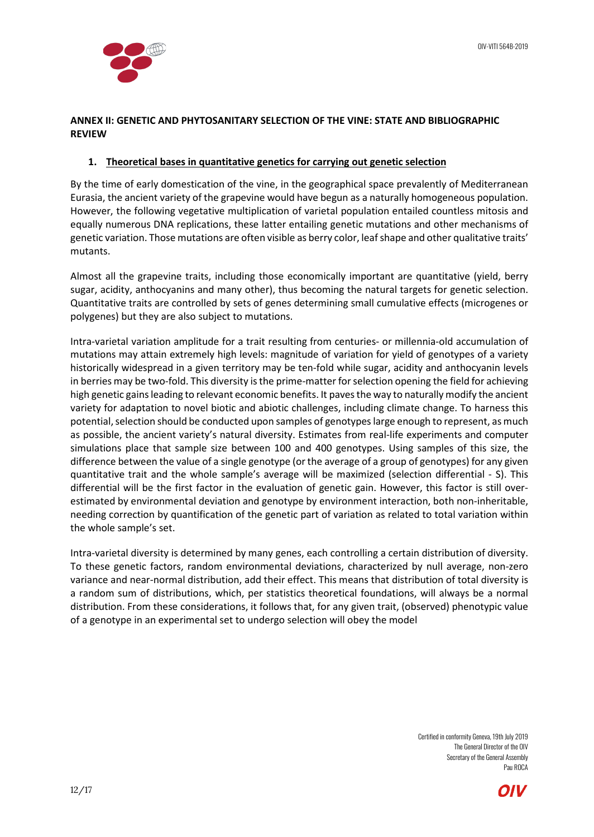![](_page_11_Picture_1.jpeg)

## <span id="page-11-0"></span>**ANNEX II: GENETIC AND PHYTOSANITARY SELECTION OF THE VINE: STATE AND BIBLIOGRAPHIC REVIEW**

# <span id="page-11-1"></span>**1. Theoretical bases in quantitative genetics for carrying out genetic selection**

By the time of early domestication of the vine, in the geographical space prevalently of Mediterranean Eurasia, the ancient variety of the grapevine would have begun as a naturally homogeneous population. However, the following vegetative multiplication of varietal population entailed countless mitosis and equally numerous DNA replications, these latter entailing genetic mutations and other mechanisms of genetic variation. Those mutations are often visible as berry color, leaf shape and other qualitative traits' mutants.

Almost all the grapevine traits, including those economically important are quantitative (yield, berry sugar, acidity, anthocyanins and many other), thus becoming the natural targets for genetic selection. Quantitative traits are controlled by sets of genes determining small cumulative effects (microgenes or polygenes) but they are also subject to mutations.

Intra-varietal variation amplitude for a trait resulting from centuries- or millennia-old accumulation of mutations may attain extremely high levels: magnitude of variation for yield of genotypes of a variety historically widespread in a given territory may be ten-fold while sugar, acidity and anthocyanin levels in berries may be two-fold. This diversity is the prime-matter for selection opening the field for achieving high genetic gains leading to relevant economic benefits. It paves the way to naturally modify the ancient variety for adaptation to novel biotic and abiotic challenges, including climate change. To harness this potential, selection should be conducted upon samples of genotypes large enough to represent, as much as possible, the ancient variety's natural diversity. Estimates from real-life experiments and computer simulations place that sample size between 100 and 400 genotypes. Using samples of this size, the difference between the value of a single genotype (or the average of a group of genotypes) for any given quantitative trait and the whole sample's average will be maximized (selection differential - S). This differential will be the first factor in the evaluation of genetic gain. However, this factor is still overestimated by environmental deviation and genotype by environment interaction, both non-inheritable, needing correction by quantification of the genetic part of variation as related to total variation within the whole sample's set.

Intra-varietal diversity is determined by many genes, each controlling a certain distribution of diversity. To these genetic factors, random environmental deviations, characterized by null average, non-zero variance and near-normal distribution, add their effect. This means that distribution of total diversity is a random sum of distributions, which, per statistics theoretical foundations, will always be a normal distribution. From these considerations, it follows that, for any given trait, (observed) phenotypic value of a genotype in an experimental set to undergo selection will obey the model

![](_page_11_Picture_9.jpeg)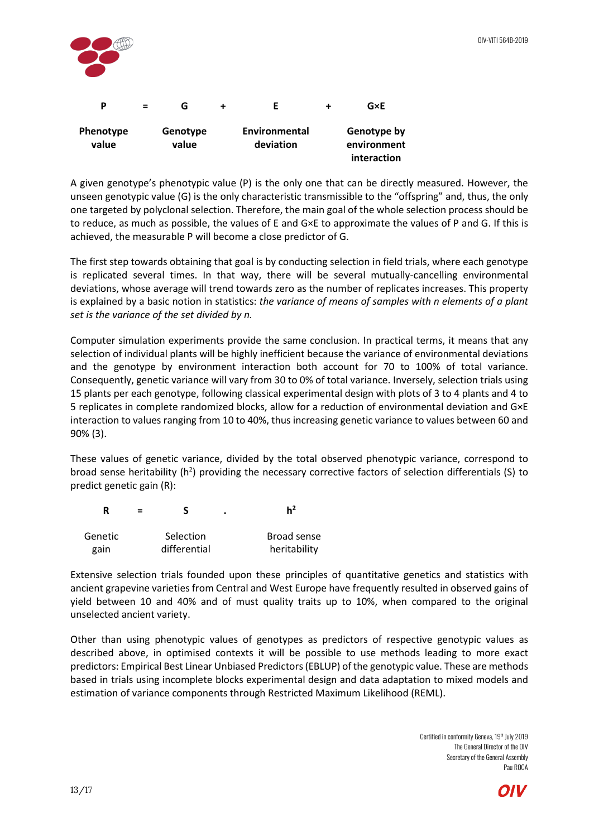![](_page_12_Figure_1.jpeg)

A given genotype's phenotypic value (P) is the only one that can be directly measured. However, the unseen genotypic value (G) is the only characteristic transmissible to the "offspring" and, thus, the only one targeted by polyclonal selection. Therefore, the main goal of the whole selection process should be to reduce, as much as possible, the values of E and G×E to approximate the values of P and G. If this is achieved, the measurable P will become a close predictor of G.

The first step towards obtaining that goal is by conducting selection in field trials, where each genotype is replicated several times. In that way, there will be several mutually-cancelling environmental deviations, whose average will trend towards zero as the number of replicates increases. This property is explained by a basic notion in statistics: *the variance of means of samples with n elements of a plant set is the variance of the set divided by n.*

Computer simulation experiments provide the same conclusion. In practical terms, it means that any selection of individual plants will be highly inefficient because the variance of environmental deviations and the genotype by environment interaction both account for 70 to 100% of total variance. Consequently, genetic variance will vary from 30 to 0% of total variance. Inversely, selection trials using 15 plants per each genotype, following classical experimental design with plots of 3 to 4 plants and 4 to 5 replicates in complete randomized blocks, allow for a reduction of environmental deviation and G×E interaction to values ranging from 10 to 40%, thus increasing genetic variance to values between 60 and 90% (3).

These values of genetic variance, divided by the total observed phenotypic variance, correspond to broad sense heritability ( $h^2$ ) providing the necessary corrective factors of selection differentials (S) to predict genetic gain (R):

| - |  |  |
|---|--|--|
|---|--|--|

| Genetic | Selection    | Broad sense  |
|---------|--------------|--------------|
| gain    | differential | heritability |

Extensive selection trials founded upon these principles of quantitative genetics and statistics with ancient grapevine varieties from Central and West Europe have frequently resulted in observed gains of yield between 10 and 40% and of must quality traits up to 10%, when compared to the original unselected ancient variety.

Other than using phenotypic values of genotypes as predictors of respective genotypic values as described above, in optimised contexts it will be possible to use methods leading to more exact predictors: Empirical Best Linear Unbiased Predictors (EBLUP) of the genotypic value. These are methods based in trials using incomplete blocks experimental design and data adaptation to mixed models and estimation of variance components through Restricted Maximum Likelihood (REML).

![](_page_12_Picture_11.jpeg)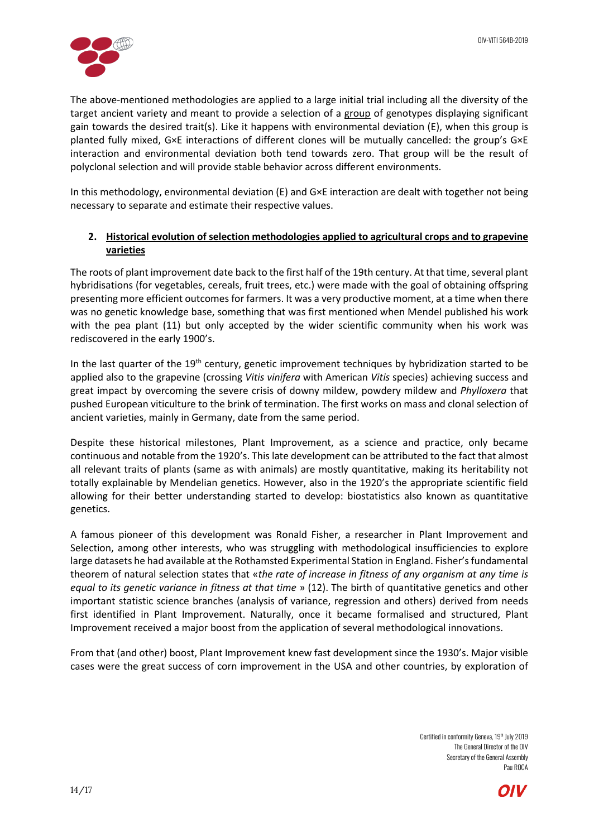![](_page_13_Picture_1.jpeg)

The above-mentioned methodologies are applied to a large initial trial including all the diversity of the target ancient variety and meant to provide a selection of a group of genotypes displaying significant gain towards the desired trait(s). Like it happens with environmental deviation (E), when this group is planted fully mixed, G×E interactions of different clones will be mutually cancelled: the group's G×E interaction and environmental deviation both tend towards zero. That group will be the result of polyclonal selection and will provide stable behavior across different environments.

In this methodology, environmental deviation (E) and G×E interaction are dealt with together not being necessary to separate and estimate their respective values.

# <span id="page-13-0"></span>**2. Historical evolution of selection methodologies applied to agricultural crops and to grapevine varieties**

The roots of plant improvement date back to the first half of the 19th century. At that time, several plant hybridisations (for vegetables, cereals, fruit trees, etc.) were made with the goal of obtaining offspring presenting more efficient outcomes for farmers. It was a very productive moment, at a time when there was no genetic knowledge base, something that was first mentioned when Mendel published his work with the pea plant (11) but only accepted by the wider scientific community when his work was rediscovered in the early 1900's.

In the last quarter of the 19<sup>th</sup> century, genetic improvement techniques by hybridization started to be applied also to the grapevine (crossing *Vitis vinifera* with American *Vitis* species) achieving success and great impact by overcoming the severe crisis of downy mildew, powdery mildew and *Phylloxera* that pushed European viticulture to the brink of termination. The first works on mass and clonal selection of ancient varieties, mainly in Germany, date from the same period.

Despite these historical milestones, Plant Improvement, as a science and practice, only became continuous and notable from the 1920's. This late development can be attributed to the fact that almost all relevant traits of plants (same as with animals) are mostly quantitative, making its heritability not totally explainable by Mendelian genetics. However, also in the 1920's the appropriate scientific field allowing for their better understanding started to develop: biostatistics also known as quantitative genetics.

A famous pioneer of this development was Ronald Fisher, a researcher in Plant Improvement and Selection, among other interests, who was struggling with methodological insufficiencies to explore large datasets he had available at the Rothamsted Experimental Station in England. Fisher's fundamental theorem of natural selection states that «*the rate of increase in fitness of any organism at any time is equal to its genetic variance in fitness at that time* » (12). The birth of quantitative genetics and other important statistic science branches (analysis of variance, regression and others) derived from needs first identified in Plant Improvement. Naturally, once it became formalised and structured, Plant Improvement received a major boost from the application of several methodological innovations.

From that (and other) boost, Plant Improvement knew fast development since the 1930's. Major visible cases were the great success of corn improvement in the USA and other countries, by exploration of

![](_page_13_Picture_11.jpeg)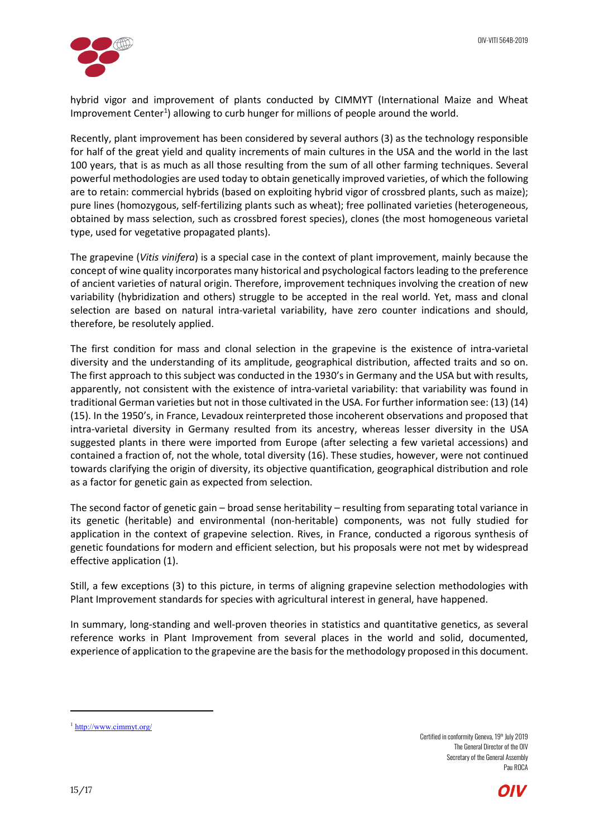![](_page_14_Picture_1.jpeg)

hybrid vigor and improvement of plants conducted by CIMMYT (International Maize and Wheat Improvement Center<sup>[1](#page-14-0)</sup>) allowing to curb hunger for millions of people around the world.

Recently, plant improvement has been considered by several authors (3) as the technology responsible for half of the great yield and quality increments of main cultures in the USA and the world in the last 100 years, that is as much as all those resulting from the sum of all other farming techniques. Several powerful methodologies are used today to obtain genetically improved varieties, of which the following are to retain: commercial hybrids (based on exploiting hybrid vigor of crossbred plants, such as maize); pure lines (homozygous, self-fertilizing plants such as wheat); free pollinated varieties (heterogeneous, obtained by mass selection, such as crossbred forest species), clones (the most homogeneous varietal type, used for vegetative propagated plants).

The grapevine (*Vitis vinifera*) is a special case in the context of plant improvement, mainly because the concept of wine quality incorporates many historical and psychological factors leading to the preference of ancient varieties of natural origin. Therefore, improvement techniques involving the creation of new variability (hybridization and others) struggle to be accepted in the real world. Yet, mass and clonal selection are based on natural intra-varietal variability, have zero counter indications and should, therefore, be resolutely applied.

The first condition for mass and clonal selection in the grapevine is the existence of intra-varietal diversity and the understanding of its amplitude, geographical distribution, affected traits and so on. The first approach to this subject was conducted in the 1930's in Germany and the USA but with results, apparently, not consistent with the existence of intra-varietal variability: that variability was found in traditional German varieties but not in those cultivated in the USA. For further information see: (13) (14) (15). In the 1950's, in France, Levadoux reinterpreted those incoherent observations and proposed that intra-varietal diversity in Germany resulted from its ancestry, whereas lesser diversity in the USA suggested plants in there were imported from Europe (after selecting a few varietal accessions) and contained a fraction of, not the whole, total diversity (16). These studies, however, were not continued towards clarifying the origin of diversity, its objective quantification, geographical distribution and role as a factor for genetic gain as expected from selection.

The second factor of genetic gain – broad sense heritability – resulting from separating total variance in its genetic (heritable) and environmental (non-heritable) components, was not fully studied for application in the context of grapevine selection. Rives, in France, conducted a rigorous synthesis of genetic foundations for modern and efficient selection, but his proposals were not met by widespread effective application (1).

Still, a few exceptions (3) to this picture, in terms of aligning grapevine selection methodologies with Plant Improvement standards for species with agricultural interest in general, have happened.

In summary, long-standing and well-proven theories in statistics and quantitative genetics, as several reference works in Plant Improvement from several places in the world and solid, documented, experience of application to the grapevine are the basis for the methodology proposed in this document.

Certified in conformity Geneva, 19<sup>th</sup> July 2019 The General Director of the OIV Secretary of the General Assembly Pau ROCA

![](_page_14_Picture_11.jpeg)

l

<span id="page-14-0"></span><sup>&</sup>lt;sup>1</sup> <http://www.cimmyt.org/>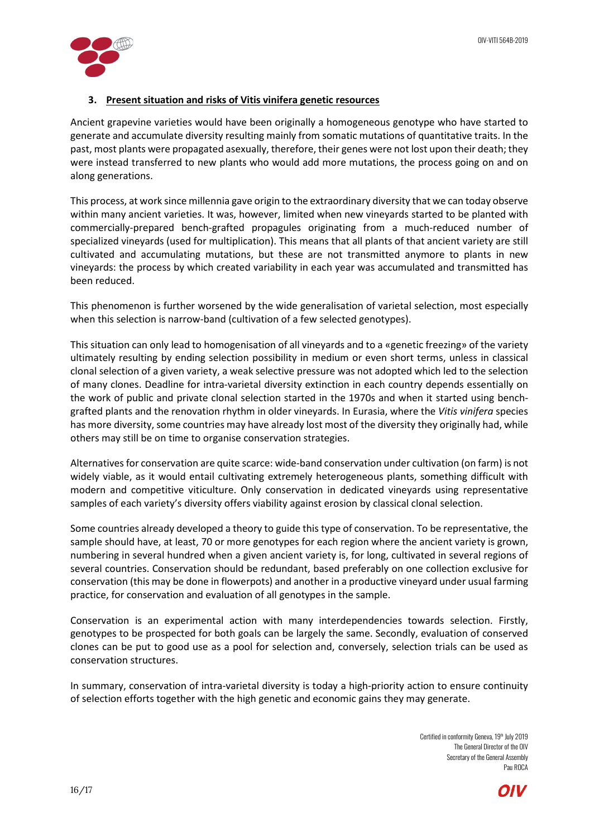![](_page_15_Picture_1.jpeg)

# <span id="page-15-0"></span>**3. Present situation and risks of Vitis vinifera genetic resources**

Ancient grapevine varieties would have been originally a homogeneous genotype who have started to generate and accumulate diversity resulting mainly from somatic mutations of quantitative traits. In the past, most plants were propagated asexually, therefore, their genes were not lost upon their death; they were instead transferred to new plants who would add more mutations, the process going on and on along generations.

This process, at work since millennia gave origin to the extraordinary diversity that we can today observe within many ancient varieties. It was, however, limited when new vineyards started to be planted with commercially-prepared bench-grafted propagules originating from a much-reduced number of specialized vineyards (used for multiplication). This means that all plants of that ancient variety are still cultivated and accumulating mutations, but these are not transmitted anymore to plants in new vineyards: the process by which created variability in each year was accumulated and transmitted has been reduced.

This phenomenon is further worsened by the wide generalisation of varietal selection, most especially when this selection is narrow-band (cultivation of a few selected genotypes).

This situation can only lead to homogenisation of all vineyards and to a «genetic freezing» of the variety ultimately resulting by ending selection possibility in medium or even short terms, unless in classical clonal selection of a given variety, a weak selective pressure was not adopted which led to the selection of many clones. Deadline for intra-varietal diversity extinction in each country depends essentially on the work of public and private clonal selection started in the 1970s and when it started using benchgrafted plants and the renovation rhythm in older vineyards. In Eurasia, where the *Vitis vinifera* species has more diversity, some countries may have already lost most of the diversity they originally had, while others may still be on time to organise conservation strategies.

Alternatives for conservation are quite scarce: wide-band conservation under cultivation (on farm) is not widely viable, as it would entail cultivating extremely heterogeneous plants, something difficult with modern and competitive viticulture. Only conservation in dedicated vineyards using representative samples of each variety's diversity offers viability against erosion by classical clonal selection.

Some countries already developed a theory to guide this type of conservation. To be representative, the sample should have, at least, 70 or more genotypes for each region where the ancient variety is grown, numbering in several hundred when a given ancient variety is, for long, cultivated in several regions of several countries. Conservation should be redundant, based preferably on one collection exclusive for conservation (this may be done in flowerpots) and another in a productive vineyard under usual farming practice, for conservation and evaluation of all genotypes in the sample.

Conservation is an experimental action with many interdependencies towards selection. Firstly, genotypes to be prospected for both goals can be largely the same. Secondly, evaluation of conserved clones can be put to good use as a pool for selection and, conversely, selection trials can be used as conservation structures.

In summary, conservation of intra-varietal diversity is today a high-priority action to ensure continuity of selection efforts together with the high genetic and economic gains they may generate.

![](_page_15_Picture_12.jpeg)